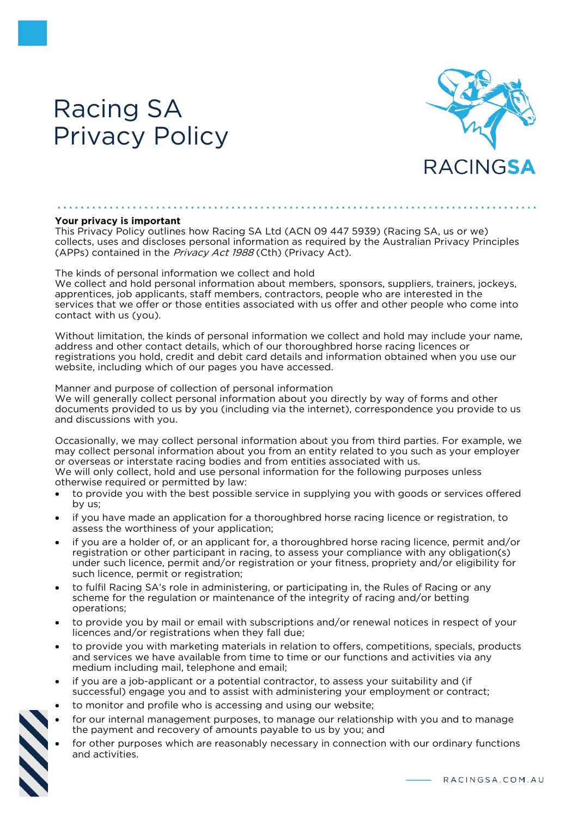# Racing SA Privacy Policy



#### **Your privacy is important**

This Privacy Policy outlines how Racing SA Ltd (ACN 09 447 5939) (Racing SA, us or we) collects, uses and discloses personal information as required by the Australian Privacy Principles (APPs) contained in the *Privacy Act 1988* (Cth) (Privacy Act).

The kinds of personal information we collect and hold

We collect and hold personal information about members, sponsors, suppliers, trainers, jockeys, apprentices, job applicants, staff members, contractors, people who are interested in the services that we offer or those entities associated with us offer and other people who come into contact with us (you).

Without limitation, the kinds of personal information we collect and hold may include your name, address and other contact details, which of our thoroughbred horse racing licences or registrations you hold, credit and debit card details and information obtained when you use our website, including which of our pages you have accessed.

#### Manner and purpose of collection of personal information

We will generally collect personal information about you directly by way of forms and other documents provided to us by you (including via the internet), correspondence you provide to us and discussions with you.

Occasionally, we may collect personal information about you from third parties. For example, we may collect personal information about you from an entity related to you such as your employer or overseas or interstate racing bodies and from entities associated with us.

We will only collect, hold and use personal information for the following purposes unless otherwise required or permitted by law:

- to provide you with the best possible service in supplying you with goods or services offered by us;
- if you have made an application for a thoroughbred horse racing licence or registration, to assess the worthiness of your application;
- if you are a holder of, or an applicant for, a thoroughbred horse racing licence, permit and/or registration or other participant in racing, to assess your compliance with any obligation(s) under such licence, permit and/or registration or your fitness, propriety and/or eligibility for such licence, permit or registration;
- to fulfil Racing SA's role in administering, or participating in, the Rules of Racing or any scheme for the regulation or maintenance of the integrity of racing and/or betting operations;
- to provide you by mail or email with subscriptions and/or renewal notices in respect of your licences and/or registrations when they fall due;
- to provide you with marketing materials in relation to offers, competitions, specials, products and services we have available from time to time or our functions and activities via any medium including mail, telephone and email;
- if you are a job-applicant or a potential contractor, to assess your suitability and (if successful) engage you and to assist with administering your employment or contract;
- to monitor and profile who is accessing and using our website;
- for our internal management purposes, to manage our relationship with you and to manage the payment and recovery of amounts payable to us by you; and
- for other purposes which are reasonably necessary in connection with our ordinary functions and activities.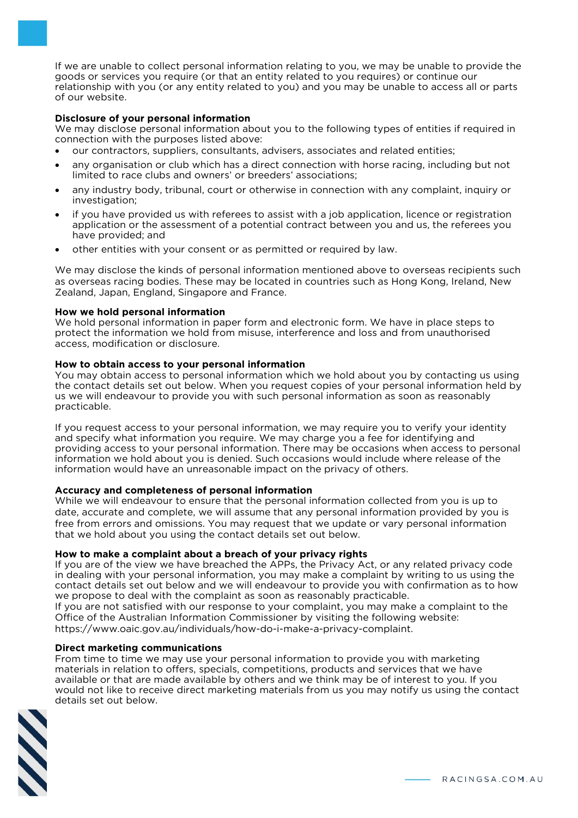If we are unable to collect personal information relating to you, we may be unable to provide the goods or services you require (or that an entity related to you requires) or continue our relationship with you (or any entity related to you) and you may be unable to access all or parts of our website.

## **Disclosure of your personal information**

We may disclose personal information about you to the following types of entities if required in connection with the purposes listed above:

- our contractors, suppliers, consultants, advisers, associates and related entities;
- any organisation or club which has a direct connection with horse racing, including but not limited to race clubs and owners' or breeders' associations;
- any industry body, tribunal, court or otherwise in connection with any complaint, inquiry or investigation;
- if you have provided us with referees to assist with a job application, licence or registration application or the assessment of a potential contract between you and us, the referees you have provided; and
- other entities with your consent or as permitted or required by law.

We may disclose the kinds of personal information mentioned above to overseas recipients such as overseas racing bodies. These may be located in countries such as Hong Kong, Ireland, New Zealand, Japan, England, Singapore and France.

#### **How we hold personal information**

We hold personal information in paper form and electronic form. We have in place steps to protect the information we hold from misuse, interference and loss and from unauthorised access, modification or disclosure.

# **How to obtain access to your personal information**

You may obtain access to personal information which we hold about you by contacting us using the contact details set out below. When you request copies of your personal information held by us we will endeavour to provide you with such personal information as soon as reasonably practicable.

If you request access to your personal information, we may require you to verify your identity and specify what information you require. We may charge you a fee for identifying and providing access to your personal information. There may be occasions when access to personal information we hold about you is denied. Such occasions would include where release of the information would have an unreasonable impact on the privacy of others.

# **Accuracy and completeness of personal information**

While we will endeavour to ensure that the personal information collected from you is up to date, accurate and complete, we will assume that any personal information provided by you is free from errors and omissions. You may request that we update or vary personal information that we hold about you using the contact details set out below.

# **How to make a complaint about a breach of your privacy rights**

If you are of the view we have breached the APPs, the Privacy Act, or any related privacy code in dealing with your personal information, you may make a complaint by writing to us using the contact details set out below and we will endeavour to provide you with confirmation as to how we propose to deal with the complaint as soon as reasonably practicable.

If you are not satisfied with our response to your complaint, you may make a complaint to the Office of the Australian Information Commissioner by visiting the following website: https://www.oaic.gov.au/individuals/how-do-i-make-a-privacy-complaint.

#### **Direct marketing communications**

From time to time we may use your personal information to provide you with marketing materials in relation to offers, specials, competitions, products and services that we have available or that are made available by others and we think may be of interest to you. If you would not like to receive direct marketing materials from us you may notify us using the contact details set out below.